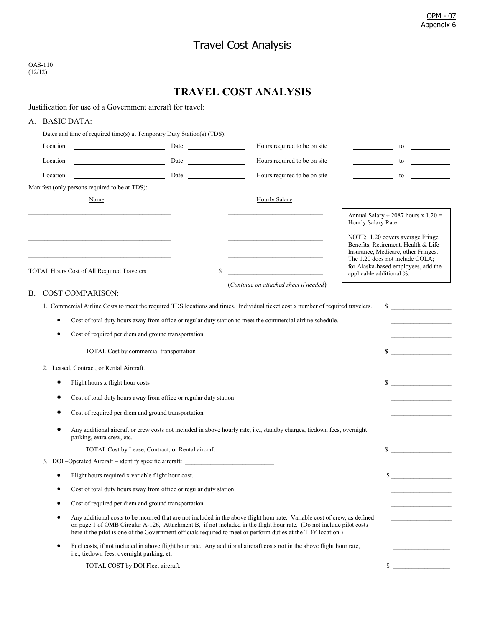## Travel Cost Analysis

| OAS-110 |
|---------|
| (12/12) |

## **TRAVEL COST ANALYSIS**

Justification for use of a Government aircraft for travel:

## A. BASIC DATA:

|    | Dates and time of required time(s) at Temporary Duty Station(s) (TDS):                                                                  |                                                                                                                                                                                                                                                                                                                                                                    |                                                                                                                                  |                          |                                                                                                                                                                                          |  |  |
|----|-----------------------------------------------------------------------------------------------------------------------------------------|--------------------------------------------------------------------------------------------------------------------------------------------------------------------------------------------------------------------------------------------------------------------------------------------------------------------------------------------------------------------|----------------------------------------------------------------------------------------------------------------------------------|--------------------------|------------------------------------------------------------------------------------------------------------------------------------------------------------------------------------------|--|--|
|    | Location<br><u> 1989 - Johann Barbara, martxa al</u>                                                                                    | Date                                                                                                                                                                                                                                                                                                                                                               | Hours required to be on site                                                                                                     |                          | to                                                                                                                                                                                       |  |  |
|    | Location<br><u> 1980 - Johann Barbara, martxa a</u>                                                                                     | Date                                                                                                                                                                                                                                                                                                                                                               | Hours required to be on site                                                                                                     |                          | to                                                                                                                                                                                       |  |  |
|    | Location<br><u> 1990 - Johann Barbara, martin a</u>                                                                                     | Date and the state of the state of the state of the state of the state of the state of the state of the state of the state of the state of the state of the state of the state of the state of the state of the state of the s                                                                                                                                     | Hours required to be on site                                                                                                     |                          | to                                                                                                                                                                                       |  |  |
|    | Manifest (only persons required to be at TDS):                                                                                          |                                                                                                                                                                                                                                                                                                                                                                    |                                                                                                                                  |                          |                                                                                                                                                                                          |  |  |
|    | Name                                                                                                                                    |                                                                                                                                                                                                                                                                                                                                                                    | <b>Hourly Salary</b>                                                                                                             |                          |                                                                                                                                                                                          |  |  |
|    |                                                                                                                                         |                                                                                                                                                                                                                                                                                                                                                                    |                                                                                                                                  | Hourly Salary Rate       | Annual Salary $\div$ 2087 hours x 1.20 =                                                                                                                                                 |  |  |
|    | the control of the control of the control of the control of the control of the control of<br>TOTAL Hours Cost of All Required Travelers | \$                                                                                                                                                                                                                                                                                                                                                                 | <u> 1989 - Johann John Stoff, deutscher Stoffen und der Stoffen und der Stoffen und der Stoffen und der Stoffen u</u>            | applicable additional %. | NOTE: 1.20 covers average Fringe<br>Benefits, Retirement, Health & Life<br>Insurance, Medicare, other Fringes.<br>The 1.20 does not include COLA;<br>for Alaska-based employees, add the |  |  |
|    |                                                                                                                                         |                                                                                                                                                                                                                                                                                                                                                                    | (Continue on attached sheet if needed)                                                                                           |                          |                                                                                                                                                                                          |  |  |
| В. | <b>COST COMPARISON:</b>                                                                                                                 |                                                                                                                                                                                                                                                                                                                                                                    |                                                                                                                                  |                          |                                                                                                                                                                                          |  |  |
|    |                                                                                                                                         |                                                                                                                                                                                                                                                                                                                                                                    | 1. Commercial Airline Costs to meet the required TDS locations and times. Individual ticket cost x number of required travelers. |                          | $\sim$                                                                                                                                                                                   |  |  |
|    | ٠                                                                                                                                       |                                                                                                                                                                                                                                                                                                                                                                    | Cost of total duty hours away from office or regular duty station to meet the commercial airline schedule.                       |                          |                                                                                                                                                                                          |  |  |
|    | Cost of required per diem and ground transportation.<br>$\bullet$                                                                       |                                                                                                                                                                                                                                                                                                                                                                    |                                                                                                                                  |                          |                                                                                                                                                                                          |  |  |
|    | TOTAL Cost by commercial transportation                                                                                                 |                                                                                                                                                                                                                                                                                                                                                                    |                                                                                                                                  | \$                       |                                                                                                                                                                                          |  |  |
|    | 2. Leased, Contract, or Rental Aircraft.                                                                                                |                                                                                                                                                                                                                                                                                                                                                                    |                                                                                                                                  |                          |                                                                                                                                                                                          |  |  |
|    | Flight hours x flight hour costs                                                                                                        |                                                                                                                                                                                                                                                                                                                                                                    |                                                                                                                                  |                          | $\mathbb{S}$                                                                                                                                                                             |  |  |
|    |                                                                                                                                         | Cost of total duty hours away from office or regular duty station                                                                                                                                                                                                                                                                                                  |                                                                                                                                  |                          |                                                                                                                                                                                          |  |  |
|    | Cost of required per diem and ground transportation                                                                                     |                                                                                                                                                                                                                                                                                                                                                                    |                                                                                                                                  |                          |                                                                                                                                                                                          |  |  |
|    | ٠<br>parking, extra crew, etc.                                                                                                          |                                                                                                                                                                                                                                                                                                                                                                    | Any additional aircraft or crew costs not included in above hourly rate, i.e., standby charges, tiedown fees, overnight          |                          |                                                                                                                                                                                          |  |  |
|    | TOTAL Cost by Lease, Contract, or Rental aircraft.                                                                                      |                                                                                                                                                                                                                                                                                                                                                                    |                                                                                                                                  | S.                       |                                                                                                                                                                                          |  |  |
|    | 3. DOI-Operated Aircraft - identify specific aircraft:                                                                                  |                                                                                                                                                                                                                                                                                                                                                                    |                                                                                                                                  |                          |                                                                                                                                                                                          |  |  |
|    | Flight hours required x variable flight hour cost.                                                                                      |                                                                                                                                                                                                                                                                                                                                                                    |                                                                                                                                  | \$                       |                                                                                                                                                                                          |  |  |
|    | ٠                                                                                                                                       | Cost of total duty hours away from office or regular duty station.                                                                                                                                                                                                                                                                                                 |                                                                                                                                  |                          |                                                                                                                                                                                          |  |  |
|    |                                                                                                                                         | Cost of required per diem and ground transportation.                                                                                                                                                                                                                                                                                                               |                                                                                                                                  |                          |                                                                                                                                                                                          |  |  |
|    | ٠                                                                                                                                       | Any additional costs to be incurred that are not included in the above flight hour rate. Variable cost of crew, as defined<br>on page 1 of OMB Circular A-126, Attachment B, if not included in the flight hour rate. (Do not include pilot costs<br>here if the pilot is one of the Government officials required to meet or perform duties at the TDY location.) |                                                                                                                                  |                          |                                                                                                                                                                                          |  |  |
|    | ٠<br>i.e., tiedown fees, overnight parking, et.                                                                                         |                                                                                                                                                                                                                                                                                                                                                                    | Fuel costs, if not included in above flight hour rate. Any additional aircraft costs not in the above flight hour rate,          |                          |                                                                                                                                                                                          |  |  |
|    | TOTAL COST by DOI Fleet aircraft.                                                                                                       |                                                                                                                                                                                                                                                                                                                                                                    |                                                                                                                                  | \$                       |                                                                                                                                                                                          |  |  |